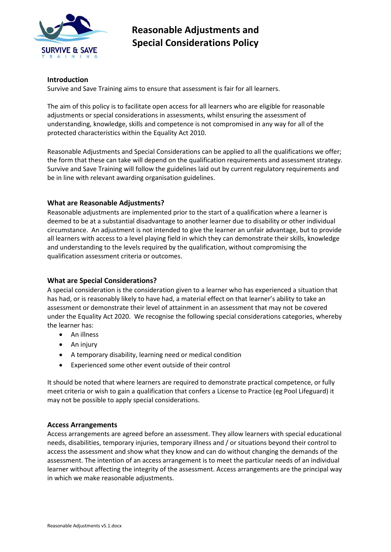

#### **Introduction**

Survive and Save Training aims to ensure that assessment is fair for all learners.

The aim of this policy is to facilitate open access for all learners who are eligible for reasonable adjustments or special considerations in assessments, whilst ensuring the assessment of understanding, knowledge, skills and competence is not compromised in any way for all of the protected characteristics within the Equality Act 2010.

Reasonable Adjustments and Special Considerations can be applied to all the qualifications we offer; the form that these can take will depend on the qualification requirements and assessment strategy. Survive and Save Training will follow the guidelines laid out by current regulatory requirements and be in line with relevant awarding organisation guidelines.

#### **What are Reasonable Adjustments?**

Reasonable adjustments are implemented prior to the start of a qualification where a learner is deemed to be at a substantial disadvantage to another learner due to disability or other individual circumstance. An adjustment is not intended to give the learner an unfair advantage, but to provide all learners with access to a level playing field in which they can demonstrate their skills, knowledge and understanding to the levels required by the qualification, without compromising the qualification assessment criteria or outcomes.

### **What are Special Considerations?**

A special consideration is the consideration given to a learner who has experienced a situation that has had, or is reasonably likely to have had, a material effect on that learner's ability to take an assessment or demonstrate their level of attainment in an assessment that may not be covered under the Equality Act 2020. We recognise the following special considerations categories, whereby the learner has:

- An illness
- An injury
- A temporary disability, learning need or medical condition
- Experienced some other event outside of their control

It should be noted that where learners are required to demonstrate practical competence, or fully meet criteria or wish to gain a qualification that confers a License to Practice (eg Pool Lifeguard) it may not be possible to apply special considerations.

#### **Access Arrangements**

Access arrangements are agreed before an assessment. They allow learners with special educational needs, disabilities, temporary injuries, temporary illness and / or situations beyond their control to access the assessment and show what they know and can do without changing the demands of the assessment. The intention of an access arrangement is to meet the particular needs of an individual learner without affecting the integrity of the assessment. Access arrangements are the principal way in which we make reasonable adjustments.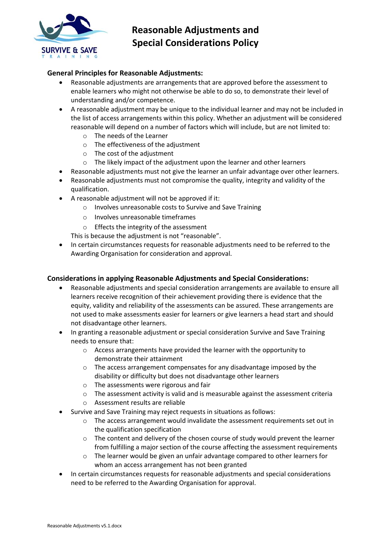

## **General Principles for Reasonable Adjustments:**

- Reasonable adjustments are arrangements that are approved before the assessment to enable learners who might not otherwise be able to do so, to demonstrate their level of understanding and/or competence.
- A reasonable adjustment may be unique to the individual learner and may not be included in the list of access arrangements within this policy. Whether an adjustment will be considered reasonable will depend on a number of factors which will include, but are not limited to:
	- o The needs of the Learner
	- o The effectiveness of the adjustment
	- o The cost of the adjustment
	- o The likely impact of the adjustment upon the learner and other learners
- Reasonable adjustments must not give the learner an unfair advantage over other learners.
- Reasonable adjustments must not compromise the quality, integrity and validity of the qualification.
- A reasonable adjustment will not be approved if it:
	- o Involves unreasonable costs to Survive and Save Training
	- o Involves unreasonable timeframes
	- o Effects the integrity of the assessment

This is because the adjustment is not "reasonable".

• In certain circumstances requests for reasonable adjustments need to be referred to the Awarding Organisation for consideration and approval.

#### **Considerations in applying Reasonable Adjustments and Special Considerations:**

- Reasonable adjustments and special consideration arrangements are available to ensure all learners receive recognition of their achievement providing there is evidence that the equity, validity and reliability of the assessments can be assured. These arrangements are not used to make assessments easier for learners or give learners a head start and should not disadvantage other learners.
- In granting a reasonable adjustment or special consideration Survive and Save Training needs to ensure that:
	- o Access arrangements have provided the learner with the opportunity to demonstrate their attainment
	- $\circ$  The access arrangement compensates for any disadvantage imposed by the disability or difficulty but does not disadvantage other learners
	- o The assessments were rigorous and fair
	- $\circ$  The assessment activity is valid and is measurable against the assessment criteria
	- o Assessment results are reliable
	- Survive and Save Training may reject requests in situations as follows:
		- $\circ$  The access arrangement would invalidate the assessment requirements set out in the qualification specification
		- $\circ$  The content and delivery of the chosen course of study would prevent the learner from fulfilling a major section of the course affecting the assessment requirements
		- o The learner would be given an unfair advantage compared to other learners for whom an access arrangement has not been granted
- In certain circumstances requests for reasonable adjustments and special considerations need to be referred to the Awarding Organisation for approval.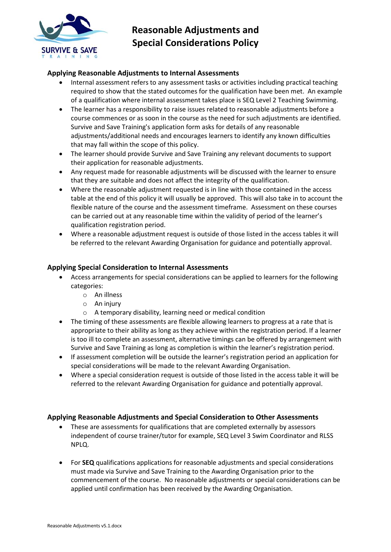

## **Applying Reasonable Adjustments to Internal Assessments**

- Internal assessment refers to any assessment tasks or activities including practical teaching required to show that the stated outcomes for the qualification have been met. An example of a qualification where internal assessment takes place is SEQ Level 2 Teaching Swimming.
- The learner has a responsibility to raise issues related to reasonable adjustments before a course commences or as soon in the course as the need for such adjustments are identified. Survive and Save Training's application form asks for details of any reasonable adjustments/additional needs and encourages learners to identify any known difficulties that may fall within the scope of this policy.
- The learner should provide Survive and Save Training any relevant documents to support their application for reasonable adjustments.
- Any request made for reasonable adjustments will be discussed with the learner to ensure that they are suitable and does not affect the integrity of the qualification.
- Where the reasonable adjustment requested is in line with those contained in the access table at the end of this policy it will usually be approved. This will also take in to account the flexible nature of the course and the assessment timeframe. Assessment on these courses can be carried out at any reasonable time within the validity of period of the learner's qualification registration period.
- Where a reasonable adjustment request is outside of those listed in the access tables it will be referred to the relevant Awarding Organisation for guidance and potentially approval.

### **Applying Special Consideration to Internal Assessments**

- Access arrangements for special considerations can be applied to learners for the following categories:
	- o An illness
	- $\circ$  An injury
	- o A temporary disability, learning need or medical condition
- The timing of these assessments are flexible allowing learners to progress at a rate that is appropriate to their ability as long as they achieve within the registration period. If a learner is too ill to complete an assessment, alternative timings can be offered by arrangement with Survive and Save Training as long as completion is within the learner's registration period.
- If assessment completion will be outside the learner's registration period an application for special considerations will be made to the relevant Awarding Organisation.
- Where a special consideration request is outside of those listed in the access table it will be referred to the relevant Awarding Organisation for guidance and potentially approval.

#### **Applying Reasonable Adjustments and Special Consideration to Other Assessments**

- These are assessments for qualifications that are completed externally by assessors independent of course trainer/tutor for example, SEQ Level 3 Swim Coordinator and RLSS NPLQ.
- For **SEQ** qualifications applications for reasonable adjustments and special considerations must made via Survive and Save Training to the Awarding Organisation prior to the commencement of the course. No reasonable adjustments or special considerations can be applied until confirmation has been received by the Awarding Organisation.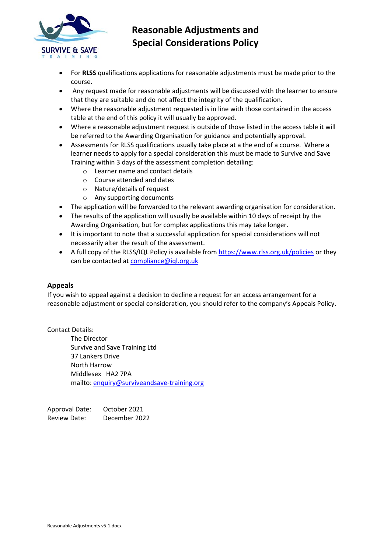

- For **RLSS** qualifications applications for reasonable adjustments must be made prior to the course.
- Any request made for reasonable adjustments will be discussed with the learner to ensure that they are suitable and do not affect the integrity of the qualification.
- Where the reasonable adjustment requested is in line with those contained in the access table at the end of this policy it will usually be approved.
- Where a reasonable adjustment request is outside of those listed in the access table it will be referred to the Awarding Organisation for guidance and potentially approval.
- Assessments for RLSS qualifications usually take place at a the end of a course. Where a learner needs to apply for a special consideration this must be made to Survive and Save Training within 3 days of the assessment completion detailing:
	- o Learner name and contact details
	- o Course attended and dates
	- o Nature/details of request
	- o Any supporting documents
- The application will be forwarded to the relevant awarding organisation for consideration.
- The results of the application will usually be available within 10 days of receipt by the Awarding Organisation, but for complex applications this may take longer.
- It is important to note that a successful application for special considerations will not necessarily alter the result of the assessment.
- A full copy of the RLSS/IQL Policy is available from<https://www.rlss.org.uk/policies> or they can be contacted a[t compliance@iql.org.uk](mailto:compliance@iql.org.uk)

#### **Appeals**

If you wish to appeal against a decision to decline a request for an access arrangement for a reasonable adjustment or special consideration, you should refer to the company's Appeals Policy.

Contact Details:

The Director Survive and Save Training Ltd 37 Lankers Drive North Harrow Middlesex HA2 7PA mailto: [enquiry@surviveandsave-training.org](mailto:enquiry@surviveandsave-training.org)

Approval Date: October 2021 Review Date: December 2022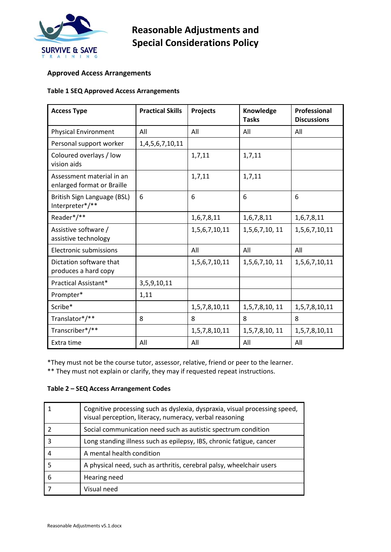

## **Approved Access Arrangements**

#### **Table 1 SEQ Approved Access Arrangements**

| <b>Access Type</b>                                      | <b>Practical Skills</b> | Projects      | Knowledge<br><b>Tasks</b> | Professional<br><b>Discussions</b> |
|---------------------------------------------------------|-------------------------|---------------|---------------------------|------------------------------------|
| <b>Physical Environment</b>                             | All                     | All           | All                       | All                                |
| Personal support worker                                 | 1,4,5,6,7,10,11         |               |                           |                                    |
| Coloured overlays / low<br>vision aids                  |                         | 1,7,11        | 1,7,11                    |                                    |
| Assessment material in an<br>enlarged format or Braille |                         | 1,7,11        | 1,7,11                    |                                    |
| British Sign Language (BSL)<br>Interpreter*/**          | 6                       | 6             | 6                         | 6                                  |
| Reader*/**                                              |                         | 1,6,7,8,11    | 1,6,7,8,11                | 1,6,7,8,11                         |
| Assistive software /<br>assistive technology            |                         | 1,5,6,7,10,11 | 1,5,6,7,10, 11            | 1,5,6,7,10,11                      |
| <b>Electronic submissions</b>                           |                         | All           | All                       | All                                |
| Dictation software that<br>produces a hard copy         |                         | 1,5,6,7,10,11 | 1,5,6,7,10, 11            | 1,5,6,7,10,11                      |
| Practical Assistant*                                    | 3,5,9,10,11             |               |                           |                                    |
| Prompter*                                               | 1,11                    |               |                           |                                    |
| Scribe*                                                 |                         | 1,5,7,8,10,11 | 1,5,7,8,10, 11            | 1,5,7,8,10,11                      |
| Translator*/**                                          | 8                       | 8             | 8                         | 8                                  |
| Transcriber*/**                                         |                         | 1,5,7,8,10,11 | 1,5,7,8,10, 11            | 1,5,7,8,10,11                      |
| Extra time                                              | All                     | All           | All                       | All                                |

\*They must not be the course tutor, assessor, relative, friend or peer to the learner.

\*\* They must not explain or clarify, they may if requested repeat instructions.

### **Table 2 – SEQ Access Arrangement Codes**

|    | Cognitive processing such as dyslexia, dyspraxia, visual processing speed,<br>visual perception, literacy, numeracy, verbal reasoning |
|----|---------------------------------------------------------------------------------------------------------------------------------------|
|    | Social communication need such as autistic spectrum condition                                                                         |
| 3  | Long standing illness such as epilepsy, IBS, chronic fatigue, cancer                                                                  |
| 4  | A mental health condition                                                                                                             |
| .5 | A physical need, such as arthritis, cerebral palsy, wheelchair users                                                                  |
| 6  | Hearing need                                                                                                                          |
|    | Visual need                                                                                                                           |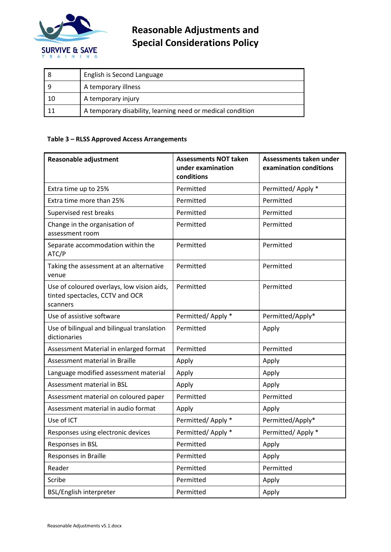

|     | English is Second Language                                 |
|-----|------------------------------------------------------------|
| -9  | A temporary illness                                        |
| -10 | A temporary injury                                         |
|     | A temporary disability, learning need or medical condition |

#### **Table 3 – RLSS Approved Access Arrangements**

| <b>Reasonable adjustment</b>                                                              | <b>Assessments NOT taken</b><br>under examination<br>conditions | Assessments taken under<br>examination conditions |
|-------------------------------------------------------------------------------------------|-----------------------------------------------------------------|---------------------------------------------------|
| Extra time up to 25%                                                                      | Permitted                                                       | Permitted/Apply *                                 |
| Extra time more than 25%                                                                  | Permitted                                                       | Permitted                                         |
| Supervised rest breaks                                                                    | Permitted                                                       | Permitted                                         |
| Change in the organisation of<br>assessment room                                          | Permitted                                                       | Permitted                                         |
| Separate accommodation within the<br>ATC/P                                                | Permitted                                                       | Permitted                                         |
| Taking the assessment at an alternative<br>venue                                          | Permitted                                                       | Permitted                                         |
| Use of coloured overlays, low vision aids,<br>tinted spectacles, CCTV and OCR<br>scanners | Permitted                                                       | Permitted                                         |
| Use of assistive software                                                                 | Permitted/Apply *                                               | Permitted/Apply*                                  |
| Use of bilingual and bilingual translation<br>dictionaries                                | Permitted                                                       | Apply                                             |
| Assessment Material in enlarged format                                                    | Permitted                                                       | Permitted                                         |
| Assessment material in Braille                                                            | Apply                                                           | Apply                                             |
| Language modified assessment material                                                     | Apply                                                           | Apply                                             |
| Assessment material in BSL                                                                | Apply                                                           | Apply                                             |
| Assessment material on coloured paper                                                     | Permitted                                                       | Permitted                                         |
| Assessment material in audio format                                                       | Apply                                                           | Apply                                             |
| Use of ICT                                                                                | Permitted/Apply *                                               | Permitted/Apply*                                  |
| Responses using electronic devices                                                        | Permitted/Apply *                                               | Permitted/Apply *                                 |
| Responses in BSL                                                                          | Permitted                                                       | Apply                                             |
| Responses in Braille                                                                      | Permitted                                                       | Apply                                             |
| Reader                                                                                    | Permitted                                                       | Permitted                                         |
| Scribe                                                                                    | Permitted                                                       | Apply                                             |
| <b>BSL/English interpreter</b>                                                            | Permitted                                                       | Apply                                             |